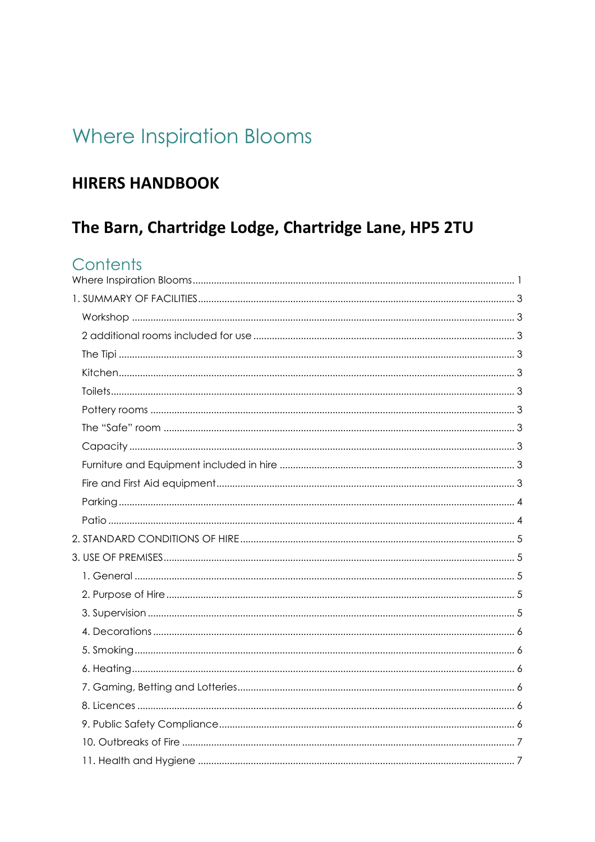# <span id="page-0-0"></span>Where Inspiration Blooms

## **HIRERS HANDBOOK**

## The Barn, Chartridge Lodge, Chartridge Lane, HP5 2TU

## Contents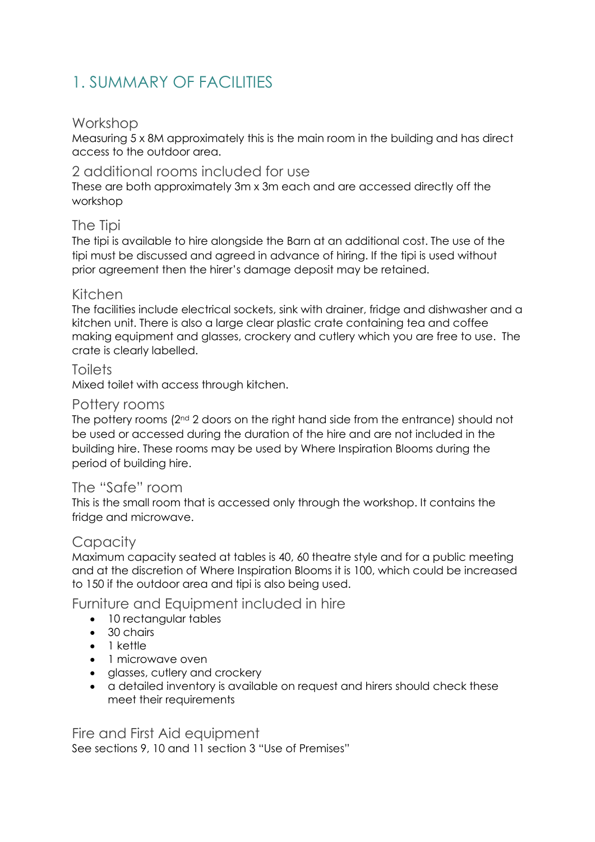## <span id="page-2-0"></span>1. SUMMARY OF FACILITIES

#### <span id="page-2-1"></span>Workshop

Measuring 5 x 8M approximately this is the main room in the building and has direct access to the outdoor area.

#### <span id="page-2-2"></span>2 additional rooms included for use

These are both approximately 3m x 3m each and are accessed directly off the workshop

#### <span id="page-2-3"></span>The Tipi

The tipi is available to hire alongside the Barn at an additional cost. The use of the tipi must be discussed and agreed in advance of hiring. If the tipi is used without prior agreement then the hirer's damage deposit may be retained.

#### <span id="page-2-4"></span>Kitchen

The facilities include electrical sockets, sink with drainer, fridge and dishwasher and a kitchen unit. There is also a large clear plastic crate containing tea and coffee making equipment and glasses, crockery and cutlery which you are free to use. The crate is clearly labelled.

#### <span id="page-2-5"></span>**Toilets**

Mixed toilet with access through kitchen.

#### <span id="page-2-6"></span>Pottery rooms

The pottery rooms  $(2^{nd} 2$  doors on the right hand side from the entrance) should not be used or accessed during the duration of the hire and are not included in the building hire. These rooms may be used by Where Inspiration Blooms during the period of building hire.

#### <span id="page-2-7"></span>The "Safe" room

This is the small room that is accessed only through the workshop. It contains the fridge and microwave.

### <span id="page-2-8"></span>**Capacity**

Maximum capacity seated at tables is 40, 60 theatre style and for a public meeting and at the discretion of Where Inspiration Blooms it is 100, which could be increased to 150 if the outdoor area and tipi is also being used.

### <span id="page-2-9"></span>Furniture and Equipment included in hire

- 10 rectangular tables
- 30 chairs
- 1 kettle
- 1 microwave oven
- glasses, cutlery and crockery
- a detailed inventory is available on request and hirers should check these meet their requirements

<span id="page-2-10"></span>Fire and First Aid equipment See sections 9, 10 and 11 section 3 "Use of Premises"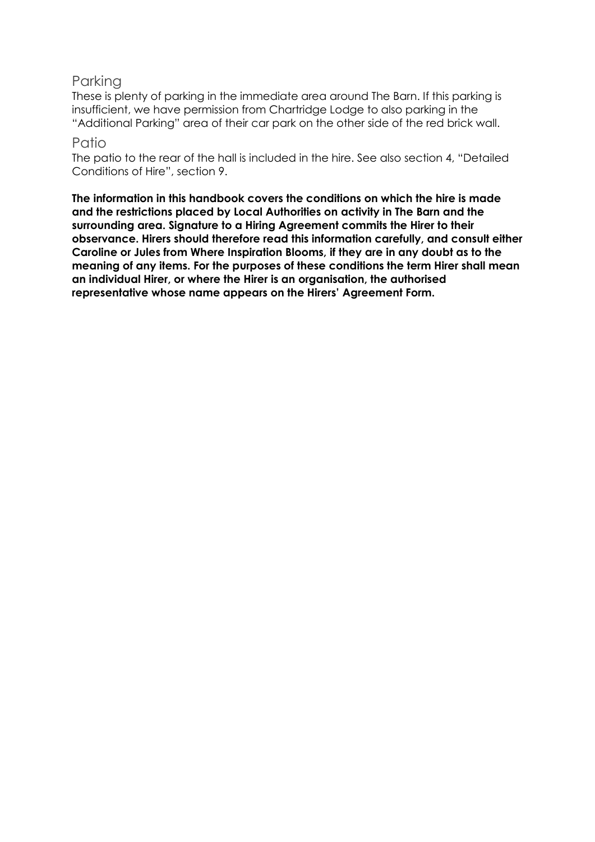### <span id="page-3-0"></span>Parking

These is plenty of parking in the immediate area around The Barn. If this parking is insufficient, we have permission from Chartridge Lodge to also parking in the "Additional Parking" area of their car park on the other side of the red brick wall.

#### <span id="page-3-1"></span>Patio

The patio to the rear of the hall is included in the hire. See also section 4, "Detailed Conditions of Hire", section 9.

**The information in this handbook covers the conditions on which the hire is made and the restrictions placed by Local Authorities on activity in The Barn and the surrounding area. Signature to a Hiring Agreement commits the Hirer to their observance. Hirers should therefore read this information carefully, and consult either Caroline or Jules from Where Inspiration Blooms, if they are in any doubt as to the meaning of any items. For the purposes of these conditions the term Hirer shall mean an individual Hirer, or where the Hirer is an organisation, the authorised representative whose name appears on the Hirers' Agreement Form.**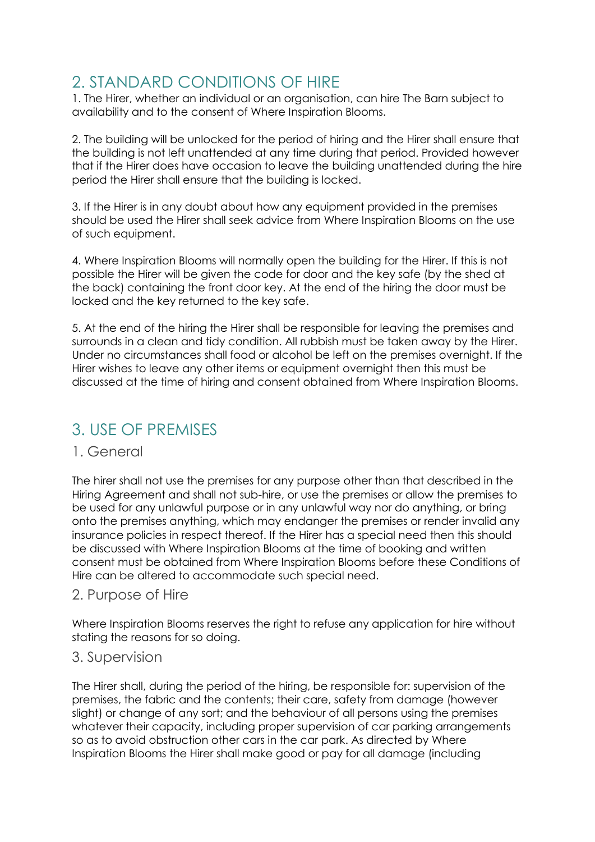## <span id="page-4-0"></span>2. STANDARD CONDITIONS OF HIRE

1. The Hirer, whether an individual or an organisation, can hire The Barn subject to availability and to the consent of Where Inspiration Blooms.

2. The building will be unlocked for the period of hiring and the Hirer shall ensure that the building is not left unattended at any time during that period. Provided however that if the Hirer does have occasion to leave the building unattended during the hire period the Hirer shall ensure that the building is locked.

3. If the Hirer is in any doubt about how any equipment provided in the premises should be used the Hirer shall seek advice from Where Inspiration Blooms on the use of such equipment.

4. Where Inspiration Blooms will normally open the building for the Hirer. If this is not possible the Hirer will be given the code for door and the key safe (by the shed at the back) containing the front door key. At the end of the hiring the door must be locked and the key returned to the key safe.

5. At the end of the hiring the Hirer shall be responsible for leaving the premises and surrounds in a clean and tidy condition. All rubbish must be taken away by the Hirer. Under no circumstances shall food or alcohol be left on the premises overnight. If the Hirer wishes to leave any other items or equipment overnight then this must be discussed at the time of hiring and consent obtained from Where Inspiration Blooms.

## <span id="page-4-1"></span>3. USE OF PREMISES

### <span id="page-4-2"></span>1. General

The hirer shall not use the premises for any purpose other than that described in the Hiring Agreement and shall not sub-hire, or use the premises or allow the premises to be used for any unlawful purpose or in any unlawful way nor do anything, or bring onto the premises anything, which may endanger the premises or render invalid any insurance policies in respect thereof. If the Hirer has a special need then this should be discussed with Where Inspiration Blooms at the time of booking and written consent must be obtained from Where Inspiration Blooms before these Conditions of Hire can be altered to accommodate such special need.

### <span id="page-4-3"></span>2. Purpose of Hire

Where Inspiration Blooms reserves the right to refuse any application for hire without stating the reasons for so doing.

### <span id="page-4-4"></span>3. Supervision

The Hirer shall, during the period of the hiring, be responsible for: supervision of the premises, the fabric and the contents; their care, safety from damage (however slight) or change of any sort; and the behaviour of all persons using the premises whatever their capacity, including proper supervision of car parking arrangements so as to avoid obstruction other cars in the car park. As directed by Where Inspiration Blooms the Hirer shall make good or pay for all damage (including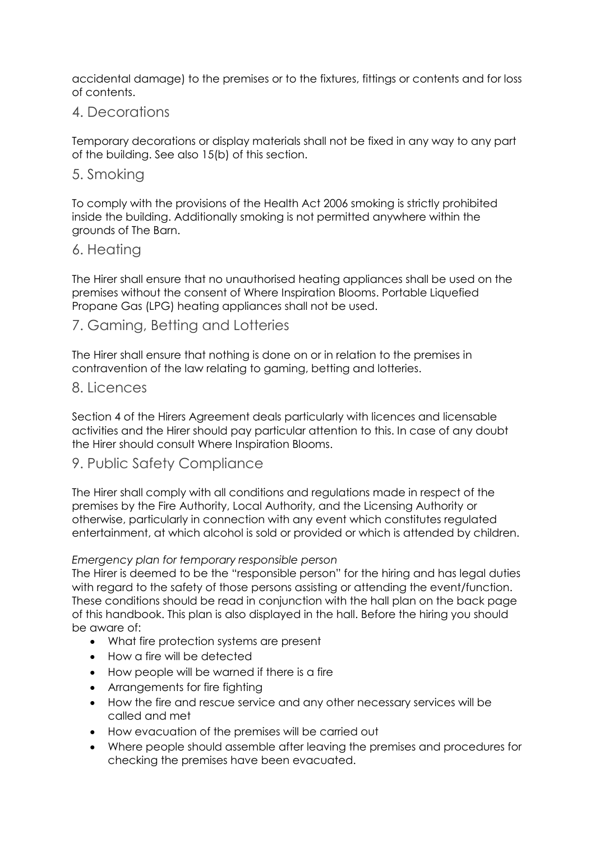accidental damage) to the premises or to the fixtures, fittings or contents and for loss of contents.

### <span id="page-5-0"></span>4. Decorations

Temporary decorations or display materials shall not be fixed in any way to any part of the building. See also 15(b) of this section.

#### <span id="page-5-1"></span>5. Smoking

To comply with the provisions of the Health Act 2006 smoking is strictly prohibited inside the building. Additionally smoking is not permitted anywhere within the grounds of The Barn.

#### <span id="page-5-2"></span>6. Heating

The Hirer shall ensure that no unauthorised heating appliances shall be used on the premises without the consent of Where Inspiration Blooms. Portable Liquefied Propane Gas (LPG) heating appliances shall not be used.

#### <span id="page-5-3"></span>7. Gaming, Betting and Lotteries

The Hirer shall ensure that nothing is done on or in relation to the premises in contravention of the law relating to gaming, betting and lotteries.

#### <span id="page-5-4"></span>8. Licences

Section 4 of the Hirers Agreement deals particularly with licences and licensable activities and the Hirer should pay particular attention to this. In case of any doubt the Hirer should consult Where Inspiration Blooms.

#### <span id="page-5-5"></span>9. Public Safety Compliance

The Hirer shall comply with all conditions and regulations made in respect of the premises by the Fire Authority, Local Authority, and the Licensing Authority or otherwise, particularly in connection with any event which constitutes regulated entertainment, at which alcohol is sold or provided or which is attended by children.

#### *Emergency plan for temporary responsible person*

The Hirer is deemed to be the "responsible person" for the hiring and has legal duties with regard to the safety of those persons assisting or attending the event/function. These conditions should be read in conjunction with the hall plan on the back page of this handbook. This plan is also displayed in the hall. Before the hiring you should be aware of:

- What fire protection systems are present
- How a fire will be detected
- How people will be warned if there is a fire
- Arrangements for fire fighting
- How the fire and rescue service and any other necessary services will be called and met
- How evacuation of the premises will be carried out
- Where people should assemble after leaving the premises and procedures for checking the premises have been evacuated.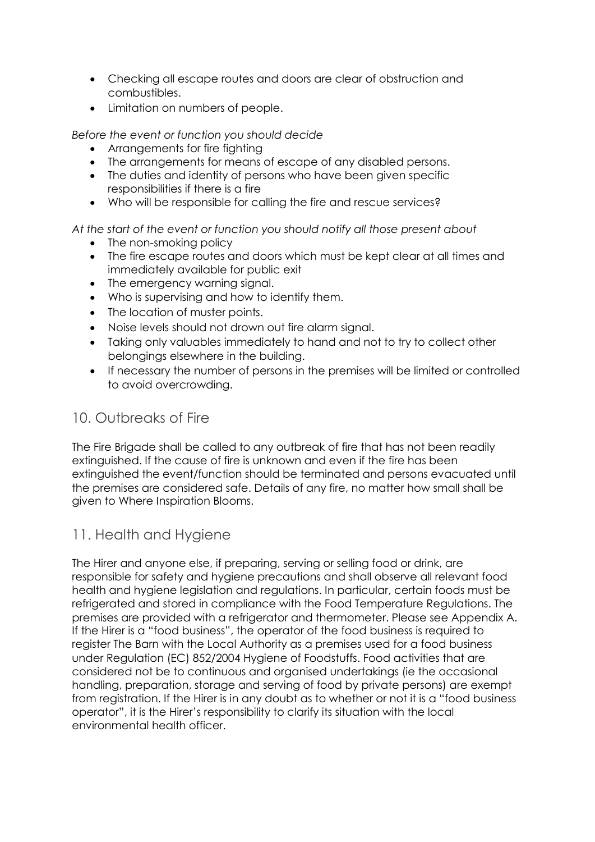- Checking all escape routes and doors are clear of obstruction and combustibles.
- Limitation on numbers of people.

*Before the event or function you should decide* 

- Arrangements for fire fighting
- The arrangements for means of escape of any disabled persons.
- The duties and identity of persons who have been given specific responsibilities if there is a fire
- Who will be responsible for calling the fire and rescue services?

*At the start of the event or function you should notify all those present about*

- The non-smoking policy
- The fire escape routes and doors which must be kept clear at all times and immediately available for public exit
- The emergency warning signal.
- Who is supervising and how to identify them.
- The location of muster points.
- Noise levels should not drown out fire alarm signal.
- Taking only valuables immediately to hand and not to try to collect other belongings elsewhere in the building.
- If necessary the number of persons in the premises will be limited or controlled to avoid overcrowding.

## <span id="page-6-0"></span>10. Outbreaks of Fire

The Fire Brigade shall be called to any outbreak of fire that has not been readily extinguished. If the cause of fire is unknown and even if the fire has been extinguished the event/function should be terminated and persons evacuated until the premises are considered safe. Details of any fire, no matter how small shall be given to Where Inspiration Blooms.

## <span id="page-6-1"></span>11. Health and Hygiene

The Hirer and anyone else, if preparing, serving or selling food or drink, are responsible for safety and hygiene precautions and shall observe all relevant food health and hygiene legislation and regulations. In particular, certain foods must be refrigerated and stored in compliance with the Food Temperature Regulations. The premises are provided with a refrigerator and thermometer. Please see Appendix A. If the Hirer is a "food business", the operator of the food business is required to register The Barn with the Local Authority as a premises used for a food business under Regulation (EC) 852/2004 Hygiene of Foodstuffs. Food activities that are considered not be to continuous and organised undertakings (ie the occasional handling, preparation, storage and serving of food by private persons) are exempt from registration. If the Hirer is in any doubt as to whether or not it is a "food business operator", it is the Hirer's responsibility to clarify its situation with the local environmental health officer.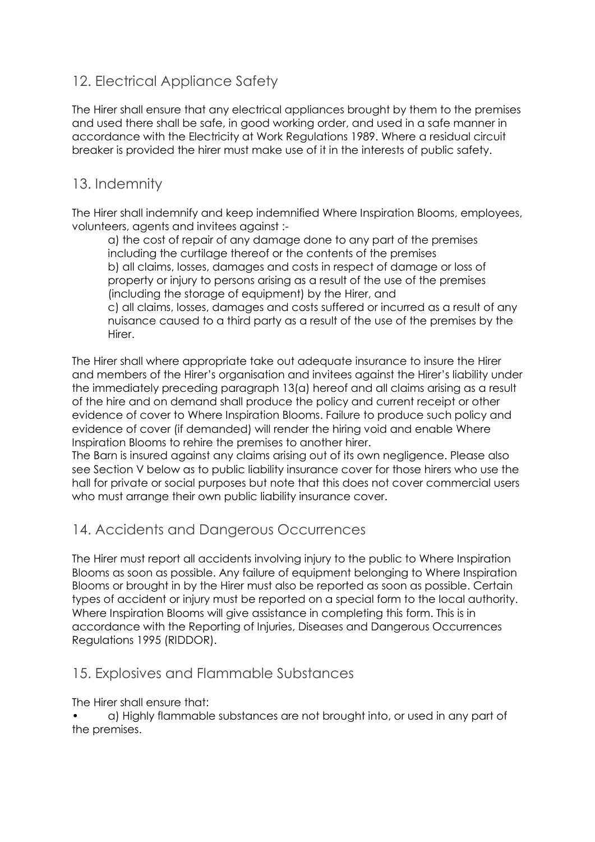## <span id="page-7-0"></span>12. Electrical Appliance Safety

The Hirer shall ensure that any electrical appliances brought by them to the premises and used there shall be safe, in good working order, and used in a safe manner in accordance with the Electricity at Work Regulations 1989. Where a residual circuit breaker is provided the hirer must make use of it in the interests of public safety.

## <span id="page-7-1"></span>13. Indemnity

The Hirer shall indemnify and keep indemnified Where Inspiration Blooms, employees, volunteers, agents and invitees against :-

a) the cost of repair of any damage done to any part of the premises including the curtilage thereof or the contents of the premises b) all claims, losses, damages and costs in respect of damage or loss of property or injury to persons arising as a result of the use of the premises (including the storage of equipment) by the Hirer, and

c) all claims, losses, damages and costs suffered or incurred as a result of any nuisance caused to a third party as a result of the use of the premises by the Hirer.

The Hirer shall where appropriate take out adequate insurance to insure the Hirer and members of the Hirer's organisation and invitees against the Hirer's liability under the immediately preceding paragraph 13(a) hereof and all claims arising as a result of the hire and on demand shall produce the policy and current receipt or other evidence of cover to Where Inspiration Blooms. Failure to produce such policy and evidence of cover (if demanded) will render the hiring void and enable Where Inspiration Blooms to rehire the premises to another hirer.

The Barn is insured against any claims arising out of its own negligence. Please also see Section V below as to public liability insurance cover for those hirers who use the hall for private or social purposes but note that this does not cover commercial users who must arrange their own public liability insurance cover.

## <span id="page-7-2"></span>14. Accidents and Dangerous Occurrences

The Hirer must report all accidents involving injury to the public to Where Inspiration Blooms as soon as possible. Any failure of equipment belonging to Where Inspiration Blooms or brought in by the Hirer must also be reported as soon as possible. Certain types of accident or injury must be reported on a special form to the local authority. Where Inspiration Blooms will give assistance in completing this form. This is in accordance with the Reporting of Injuries, Diseases and Dangerous Occurrences Regulations 1995 (RIDDOR).

## <span id="page-7-3"></span>15. Explosives and Flammable Substances

The Hirer shall ensure that:

• a) Highly flammable substances are not brought into, or used in any part of the premises.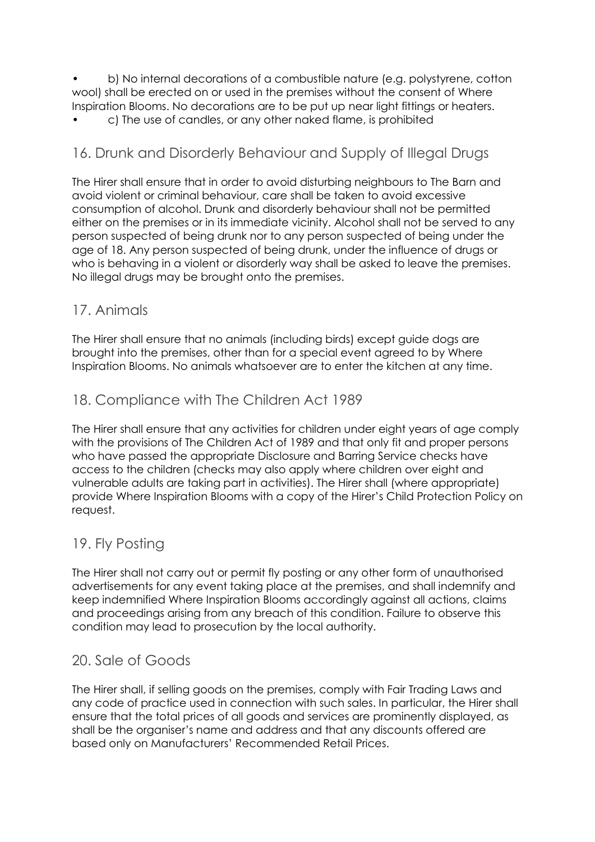• b) No internal decorations of a combustible nature (e.g. polystyrene, cotton wool) shall be erected on or used in the premises without the consent of Where Inspiration Blooms. No decorations are to be put up near light fittings or heaters.

• c) The use of candles, or any other naked flame, is prohibited

## <span id="page-8-0"></span>16. Drunk and Disorderly Behaviour and Supply of Illegal Drugs

The Hirer shall ensure that in order to avoid disturbing neighbours to The Barn and avoid violent or criminal behaviour, care shall be taken to avoid excessive consumption of alcohol. Drunk and disorderly behaviour shall not be permitted either on the premises or in its immediate vicinity. Alcohol shall not be served to any person suspected of being drunk nor to any person suspected of being under the age of 18. Any person suspected of being drunk, under the influence of drugs or who is behaving in a violent or disorderly way shall be asked to leave the premises. No illegal drugs may be brought onto the premises.

## <span id="page-8-1"></span>17. Animals

The Hirer shall ensure that no animals (including birds) except guide dogs are brought into the premises, other than for a special event agreed to by Where Inspiration Blooms. No animals whatsoever are to enter the kitchen at any time.

## <span id="page-8-2"></span>18. Compliance with The Children Act 1989

The Hirer shall ensure that any activities for children under eight years of age comply with the provisions of The Children Act of 1989 and that only fit and proper persons who have passed the appropriate Disclosure and Barring Service checks have access to the children (checks may also apply where children over eight and vulnerable adults are taking part in activities). The Hirer shall (where appropriate) provide Where Inspiration Blooms with a copy of the Hirer's Child Protection Policy on request.

## <span id="page-8-3"></span>19. Fly Posting

The Hirer shall not carry out or permit fly posting or any other form of unauthorised advertisements for any event taking place at the premises, and shall indemnify and keep indemnified Where Inspiration Blooms accordingly against all actions, claims and proceedings arising from any breach of this condition. Failure to observe this condition may lead to prosecution by the local authority.

## <span id="page-8-4"></span>20. Sale of Goods

The Hirer shall, if selling goods on the premises, comply with Fair Trading Laws and any code of practice used in connection with such sales. In particular, the Hirer shall ensure that the total prices of all goods and services are prominently displayed, as shall be the organiser's name and address and that any discounts offered are based only on Manufacturers' Recommended Retail Prices.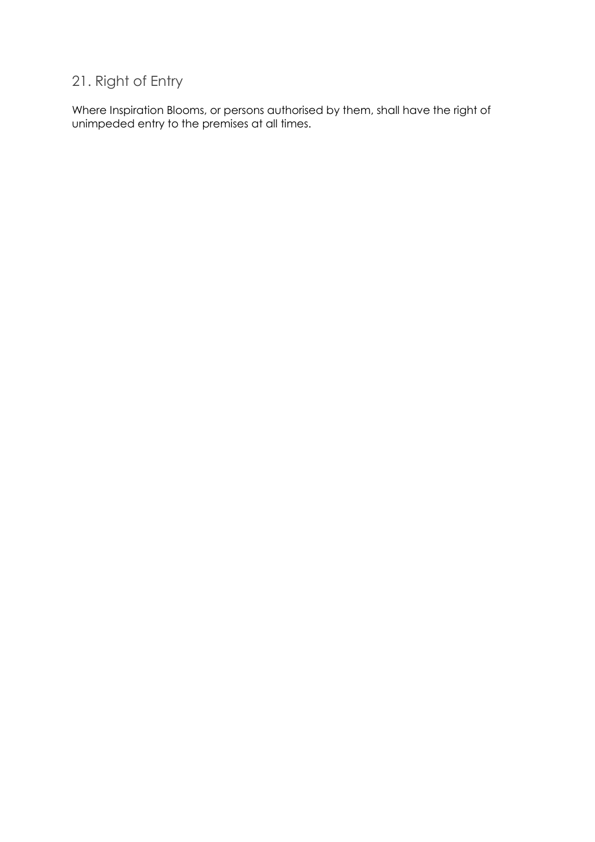## <span id="page-9-0"></span>21. Right of Entry

Where Inspiration Blooms, or persons authorised by them, shall have the right of unimpeded entry to the premises at all times.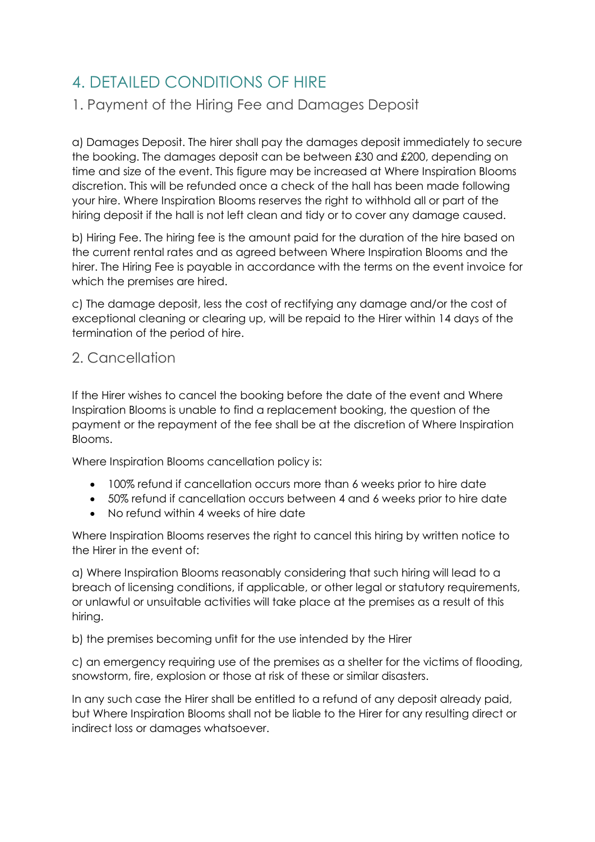## <span id="page-10-0"></span>4. DETAILED CONDITIONS OF HIRE

## <span id="page-10-1"></span>1. Payment of the Hiring Fee and Damages Deposit

a) Damages Deposit. The hirer shall pay the damages deposit immediately to secure the booking. The damages deposit can be between £30 and £200, depending on time and size of the event. This figure may be increased at Where Inspiration Blooms discretion. This will be refunded once a check of the hall has been made following your hire. Where Inspiration Blooms reserves the right to withhold all or part of the hiring deposit if the hall is not left clean and tidy or to cover any damage caused.

b) Hiring Fee. The hiring fee is the amount paid for the duration of the hire based on the current rental rates and as agreed between Where Inspiration Blooms and the hirer. The Hiring Fee is payable in accordance with the terms on the event invoice for which the premises are hired.

c) The damage deposit, less the cost of rectifying any damage and/or the cost of exceptional cleaning or clearing up, will be repaid to the Hirer within 14 days of the termination of the period of hire.

## <span id="page-10-2"></span>2. Cancellation

If the Hirer wishes to cancel the booking before the date of the event and Where Inspiration Blooms is unable to find a replacement booking, the question of the payment or the repayment of the fee shall be at the discretion of Where Inspiration Blooms.

Where Inspiration Blooms cancellation policy is:

- 100% refund if cancellation occurs more than 6 weeks prior to hire date
- 50% refund if cancellation occurs between 4 and 6 weeks prior to hire date
- No refund within 4 weeks of hire date

Where Inspiration Blooms reserves the right to cancel this hiring by written notice to the Hirer in the event of:

a) Where Inspiration Blooms reasonably considering that such hiring will lead to a breach of licensing conditions, if applicable, or other legal or statutory requirements, or unlawful or unsuitable activities will take place at the premises as a result of this hiring.

b) the premises becoming unfit for the use intended by the Hirer

c) an emergency requiring use of the premises as a shelter for the victims of flooding, snowstorm, fire, explosion or those at risk of these or similar disasters.

In any such case the Hirer shall be entitled to a refund of any deposit already paid, but Where Inspiration Blooms shall not be liable to the Hirer for any resulting direct or indirect loss or damages whatsoever.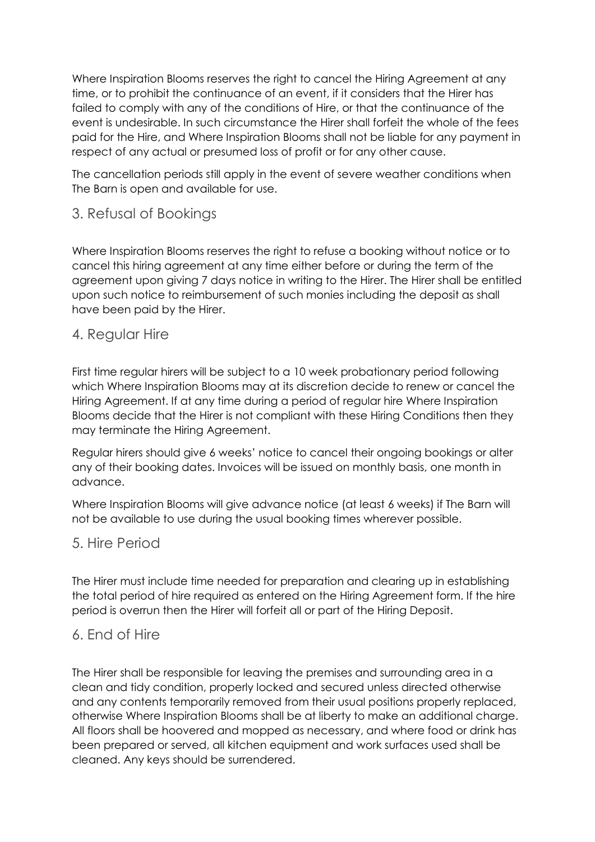Where Inspiration Blooms reserves the right to cancel the Hiring Agreement at any time, or to prohibit the continuance of an event, if it considers that the Hirer has failed to comply with any of the conditions of Hire, or that the continuance of the event is undesirable. In such circumstance the Hirer shall forfeit the whole of the fees paid for the Hire, and Where Inspiration Blooms shall not be liable for any payment in respect of any actual or presumed loss of profit or for any other cause.

The cancellation periods still apply in the event of severe weather conditions when The Barn is open and available for use.

## <span id="page-11-0"></span>3. Refusal of Bookings

Where Inspiration Blooms reserves the right to refuse a booking without notice or to cancel this hiring agreement at any time either before or during the term of the agreement upon giving 7 days notice in writing to the Hirer. The Hirer shall be entitled upon such notice to reimbursement of such monies including the deposit as shall have been paid by the Hirer.

#### <span id="page-11-1"></span>4. Regular Hire

First time regular hirers will be subject to a 10 week probationary period following which Where Inspiration Blooms may at its discretion decide to renew or cancel the Hiring Agreement. If at any time during a period of regular hire Where Inspiration Blooms decide that the Hirer is not compliant with these Hiring Conditions then they may terminate the Hiring Agreement.

Regular hirers should give 6 weeks' notice to cancel their ongoing bookings or alter any of their booking dates. Invoices will be issued on monthly basis, one month in advance.

Where Inspiration Blooms will give advance notice (at least 6 weeks) if The Barn will not be available to use during the usual booking times wherever possible.

## <span id="page-11-2"></span>5. Hire Period

The Hirer must include time needed for preparation and clearing up in establishing the total period of hire required as entered on the Hiring Agreement form. If the hire period is overrun then the Hirer will forfeit all or part of the Hiring Deposit.

### <span id="page-11-3"></span>6. End of Hire

The Hirer shall be responsible for leaving the premises and surrounding area in a clean and tidy condition, properly locked and secured unless directed otherwise and any contents temporarily removed from their usual positions properly replaced, otherwise Where Inspiration Blooms shall be at liberty to make an additional charge. All floors shall be hoovered and mopped as necessary, and where food or drink has been prepared or served, all kitchen equipment and work surfaces used shall be cleaned. Any keys should be surrendered.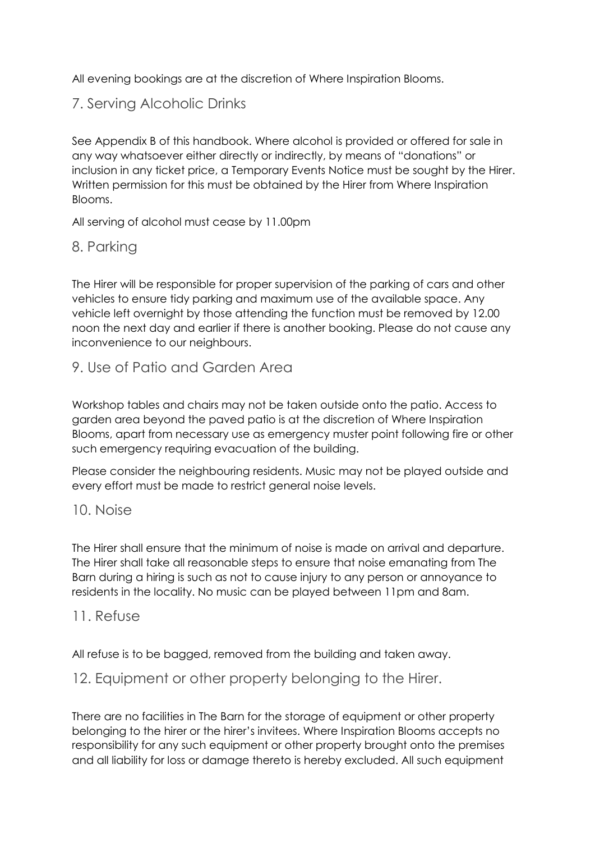All evening bookings are at the discretion of Where Inspiration Blooms.

## <span id="page-12-0"></span>7. Serving Alcoholic Drinks

See Appendix B of this handbook. Where alcohol is provided or offered for sale in any way whatsoever either directly or indirectly, by means of "donations" or inclusion in any ticket price, a Temporary Events Notice must be sought by the Hirer. Written permission for this must be obtained by the Hirer from Where Inspiration Blooms.

All serving of alcohol must cease by 11.00pm

## <span id="page-12-1"></span>8. Parking

The Hirer will be responsible for proper supervision of the parking of cars and other vehicles to ensure tidy parking and maximum use of the available space. Any vehicle left overnight by those attending the function must be removed by 12.00 noon the next day and earlier if there is another booking. Please do not cause any inconvenience to our neighbours.

### <span id="page-12-2"></span>9. Use of Patio and Garden Area

Workshop tables and chairs may not be taken outside onto the patio. Access to garden area beyond the paved patio is at the discretion of Where Inspiration Blooms, apart from necessary use as emergency muster point following fire or other such emergency requiring evacuation of the building.

Please consider the neighbouring residents. Music may not be played outside and every effort must be made to restrict general noise levels.

#### <span id="page-12-3"></span>10. Noise

The Hirer shall ensure that the minimum of noise is made on arrival and departure. The Hirer shall take all reasonable steps to ensure that noise emanating from The Barn during a hiring is such as not to cause injury to any person or annoyance to residents in the locality. No music can be played between 11pm and 8am.

#### <span id="page-12-4"></span>11. Refuse

All refuse is to be bagged, removed from the building and taken away.

### <span id="page-12-5"></span>12. Equipment or other property belonging to the Hirer.

There are no facilities in The Barn for the storage of equipment or other property belonging to the hirer or the hirer's invitees. Where Inspiration Blooms accepts no responsibility for any such equipment or other property brought onto the premises and all liability for loss or damage thereto is hereby excluded. All such equipment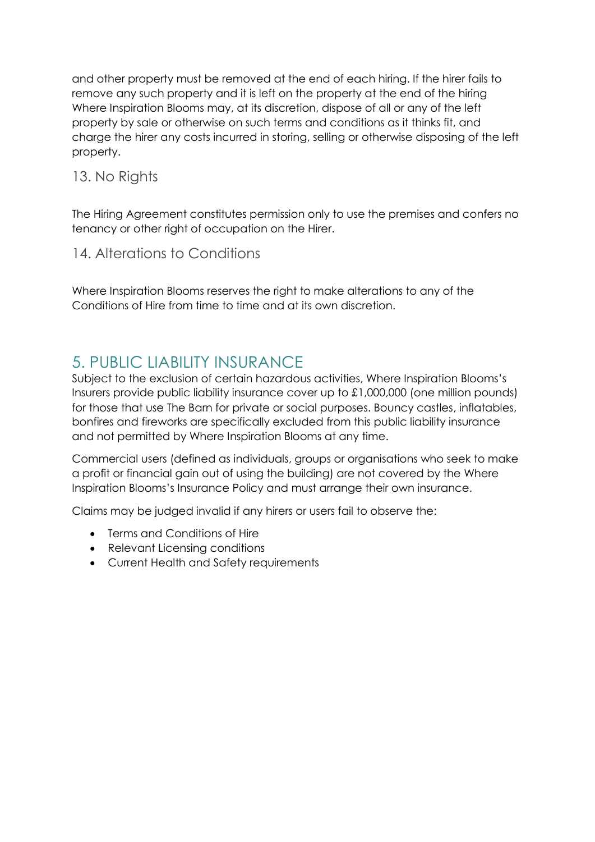and other property must be removed at the end of each hiring. If the hirer fails to remove any such property and it is left on the property at the end of the hiring Where Inspiration Blooms may, at its discretion, dispose of all or any of the left property by sale or otherwise on such terms and conditions as it thinks fit, and charge the hirer any costs incurred in storing, selling or otherwise disposing of the left property.

## <span id="page-13-0"></span>13. No Rights

The Hiring Agreement constitutes permission only to use the premises and confers no tenancy or other right of occupation on the Hirer.

## <span id="page-13-1"></span>14. Alterations to Conditions

Where Inspiration Blooms reserves the right to make alterations to any of the Conditions of Hire from time to time and at its own discretion.

## <span id="page-13-2"></span>5. PUBLIC LIABILITY INSURANCE

Subject to the exclusion of certain hazardous activities, Where Inspiration Blooms's Insurers provide public liability insurance cover up to £1,000,000 (one million pounds) for those that use The Barn for private or social purposes. Bouncy castles, inflatables, bonfires and fireworks are specifically excluded from this public liability insurance and not permitted by Where Inspiration Blooms at any time.

Commercial users (defined as individuals, groups or organisations who seek to make a profit or financial gain out of using the building) are not covered by the Where Inspiration Blooms's Insurance Policy and must arrange their own insurance.

Claims may be judged invalid if any hirers or users fail to observe the:

- Terms and Conditions of Hire
- Relevant Licensing conditions
- Current Health and Safety requirements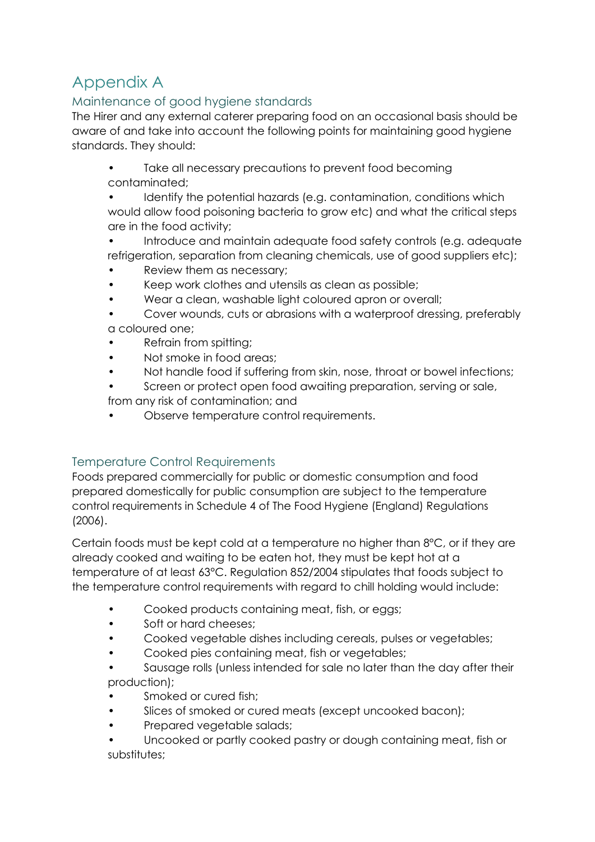## <span id="page-14-0"></span>Appendix A

## <span id="page-14-1"></span>Maintenance of good hygiene standards

The Hirer and any external caterer preparing food on an occasional basis should be aware of and take into account the following points for maintaining good hygiene standards. They should:

Take all necessary precautions to prevent food becoming contaminated;

Identify the potential hazards (e.g. contamination, conditions which would allow food poisoning bacteria to grow etc) and what the critical steps are in the food activity;

• Introduce and maintain adequate food safety controls (e.g. adequate refrigeration, separation from cleaning chemicals, use of good suppliers etc);

- Review them as necessary;
- Keep work clothes and utensils as clean as possible;
- Wear a clean, washable light coloured apron or overall;

• Cover wounds, cuts or abrasions with a waterproof dressing, preferably a coloured one;

- Refrain from spitting;
- Not smoke in food areas;
- Not handle food if suffering from skin, nose, throat or bowel infections;
- Screen or protect open food awaiting preparation, serving or sale,
- from any risk of contamination; and
- Observe temperature control requirements.

### <span id="page-14-2"></span>Temperature Control Requirements

Foods prepared commercially for public or domestic consumption and food prepared domestically for public consumption are subject to the temperature control requirements in Schedule 4 of The Food Hygiene (England) Regulations (2006).

Certain foods must be kept cold at a temperature no higher than 8°C, or if they are already cooked and waiting to be eaten hot, they must be kept hot at a temperature of at least 63°C. Regulation 852/2004 stipulates that foods subject to the temperature control requirements with regard to chill holding would include:

- Cooked products containing meat, fish, or eggs;
- Soft or hard cheeses:
- Cooked vegetable dishes including cereals, pulses or vegetables;
- Cooked pies containing meat, fish or vegetables;
- Sausage rolls (unless intended for sale no later than the day after their production);
- Smoked or cured fish:
- Slices of smoked or cured meats (except uncooked bacon);
- Prepared vegetable salads;
- Uncooked or partly cooked pastry or dough containing meat, fish or substitutes;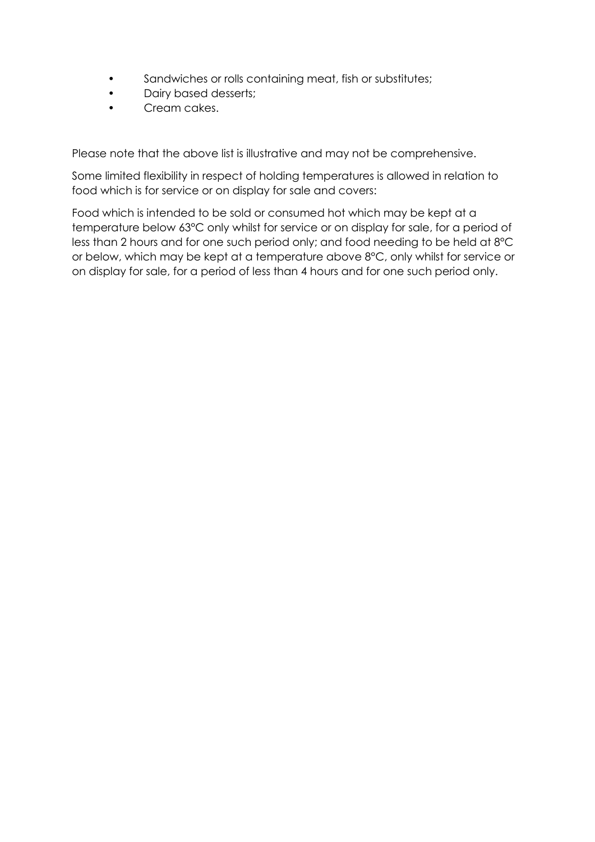- Sandwiches or rolls containing meat, fish or substitutes;
- Dairy based desserts;
- Cream cakes.

Please note that the above list is illustrative and may not be comprehensive.

Some limited flexibility in respect of holding temperatures is allowed in relation to food which is for service or on display for sale and covers:

Food which is intended to be sold or consumed hot which may be kept at a temperature below 63°C only whilst for service or on display for sale, for a period of less than 2 hours and for one such period only; and food needing to be held at 8°C or below, which may be kept at a temperature above 8°C, only whilst for service or on display for sale, for a period of less than 4 hours and for one such period only.